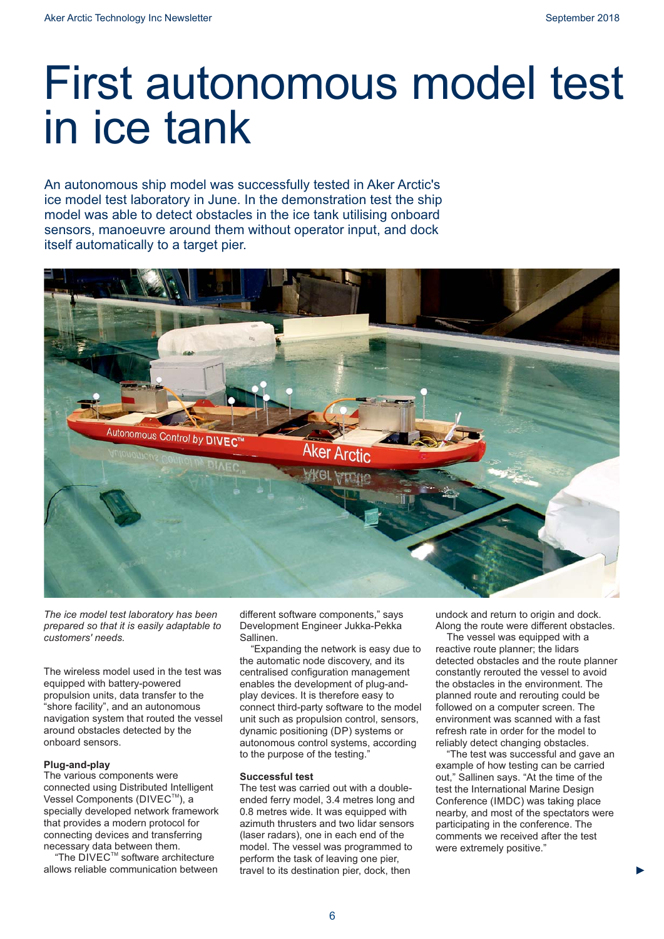## First autonomous model test in ice tank

An autonomous ship model was successfully tested in Aker Arctic's ice model test laboratory in June. In the demonstration test the ship model was able to detect obstacles in the ice tank utilising onboard sensors, manoeuvre around them without operator input, and dock itself automatically to a target pier.



*The ice model test laboratory has been prepared so that it is easily adaptable to customers' needs.*

The wireless model used in the test was equipped with battery-powered propulsion units, data transfer to the "shore facility", and an autonomous navigation system that routed the vessel around obstacles detected by the onboard sensors.

## **Plug-and-play**

The various components were connected using Distributed Intelligent Vessel Components (DIVEC™), a specially developed network framework that provides a modern protocol for connecting devices and transferring necessary data between them.

"The DIVEC™ software architecture allows reliable communication between different software components," says Development Engineer Jukka-Pekka Sallinen.

"Expanding the network is easy due to the automatic node discovery, and its centralised configuration management enables the development of plug-andplay devices. It is therefore easy to connect third-party software to the model unit such as propulsion control, sensors, dynamic positioning (DP) systems or autonomous control systems, according to the purpose of the testing."

## **Successful test**

The test was carried out with a doubleended ferry model, 3.4 metres long and 0.8 metres wide. It was equipped with azimuth thrusters and two lidar sensors (laser radars), one in each end of the model. The vessel was programmed to perform the task of leaving one pier, travel to its destination pier, dock, then

undock and return to origin and dock. Along the route were different obstacles.

The vessel was equipped with a reactive route planner; the lidars detected obstacles and the route planner constantly rerouted the vessel to avoid the obstacles in the environment. The planned route and rerouting could be followed on a computer screen. The environment was scanned with a fast refresh rate in order for the model to reliably detect changing obstacles.

"The test was successful and gave an example of how testing can be carried out," Sallinen says. "At the time of the test the International Marine Design Conference (IMDC) was taking place nearby, and most of the spectators were participating in the conference. The comments we received after the test were extremely positive."